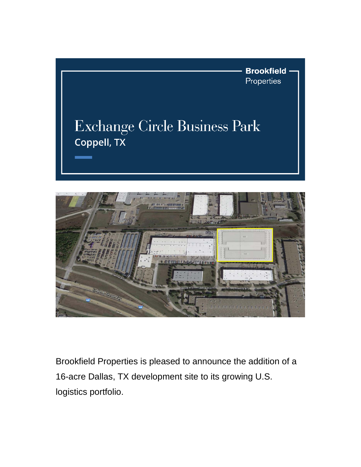

## Exchange Circle Business Park Coppell, TX



Brookfield Properties is pleased to announce the addition of a 16-acre Dallas, TX development site to its growing U.S. logistics portfolio.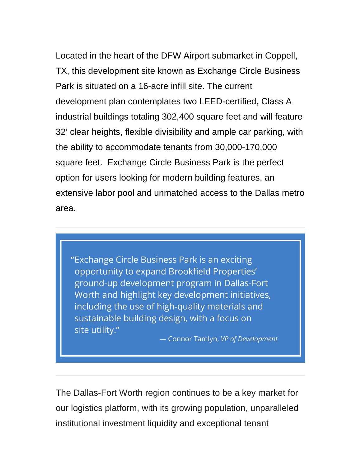Located in the heart of the DFW Airport submarket in Coppell, TX, this development site known as Exchange Circle Business Park is situated on a 16-acre infill site. The current development plan contemplates two LEED-certified, Class A industrial buildings totaling 302,400 square feet and will feature 32' clear heights, flexible divisibility and ample car parking, with the ability to accommodate tenants from 30,000-170,000 square feet. Exchange Circle Business Park is the perfect option for users looking for modern building features, an extensive labor pool and unmatched access to the Dallas metro area.

"Exchange Circle Business Park is an exciting opportunity to expand Brookfield Properties' ground-up development program in Dallas-Fort Worth and highlight key development initiatives, including the use of high-quality materials and sustainable building design, with a focus on site utility."

- Connor Tamlyn, VP of Development

The Dallas-Fort Worth region continues to be a key market for our logistics platform, with its growing population, unparalleled institutional investment liquidity and exceptional tenant